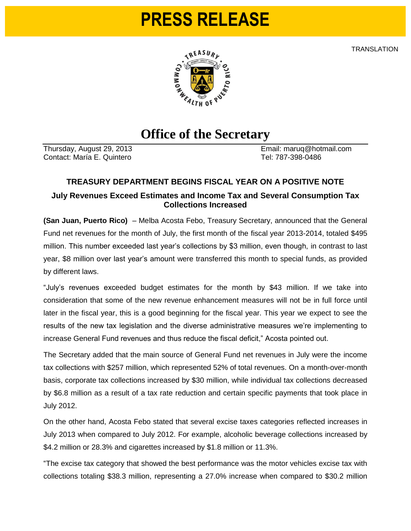# **PRESS RELEASE**

**TRANSLATION** 



## **Office of the Secretary**

Contact: María E. Quintero **Tel: 787-398-0486** 

Thursday, August 29, 2013 Email: maruq@hotmail.com

#### **TREASURY DEPARTMENT BEGINS FISCAL YEAR ON A POSITIVE NOTE**

#### **July Revenues Exceed Estimates and Income Tax and Several Consumption Tax Collections Increased**

**(San Juan, Puerto Rico)** – Melba Acosta Febo, Treasury Secretary, announced that the General Fund net revenues for the month of July, the first month of the fiscal year 2013-2014, totaled \$495 million. This number exceeded last year's collections by \$3 million, even though, in contrast to last year, \$8 million over last year's amount were transferred this month to special funds, as provided by different laws.

"July's revenues exceeded budget estimates for the month by \$43 million. If we take into consideration that some of the new revenue enhancement measures will not be in full force until later in the fiscal year, this is a good beginning for the fiscal year. This year we expect to see the results of the new tax legislation and the diverse administrative measures we're implementing to increase General Fund revenues and thus reduce the fiscal deficit," Acosta pointed out.

The Secretary added that the main source of General Fund net revenues in July were the income tax collections with \$257 million, which represented 52% of total revenues. On a month-over-month basis, corporate tax collections increased by \$30 million, while individual tax collections decreased by \$6.8 million as a result of a tax rate reduction and certain specific payments that took place in July 2012.

On the other hand, Acosta Febo stated that several excise taxes categories reflected increases in July 2013 when compared to July 2012. For example, alcoholic beverage collections increased by \$4.2 million or 28.3% and cigarettes increased by \$1.8 million or 11.3%.

"The excise tax category that showed the best performance was the motor vehicles excise tax with collections totaling \$38.3 million, representing a 27.0% increase when compared to \$30.2 million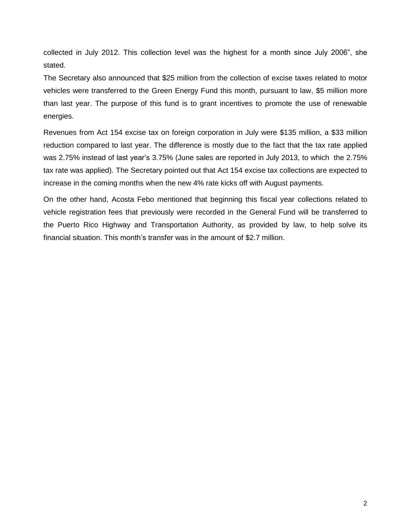collected in July 2012. This collection level was the highest for a month since July 2006", she stated.

The Secretary also announced that \$25 million from the collection of excise taxes related to motor vehicles were transferred to the Green Energy Fund this month, pursuant to law, \$5 million more than last year. The purpose of this fund is to grant incentives to promote the use of renewable energies.

Revenues from Act 154 excise tax on foreign corporation in July were \$135 million, a \$33 million reduction compared to last year. The difference is mostly due to the fact that the tax rate applied was 2.75% instead of last year's 3.75% (June sales are reported in July 2013, to which the 2.75% tax rate was applied). The Secretary pointed out that Act 154 excise tax collections are expected to increase in the coming months when the new 4% rate kicks off with August payments.

On the other hand, Acosta Febo mentioned that beginning this fiscal year collections related to vehicle registration fees that previously were recorded in the General Fund will be transferred to the Puerto Rico Highway and Transportation Authority, as provided by law, to help solve its financial situation. This month's transfer was in the amount of \$2.7 million.